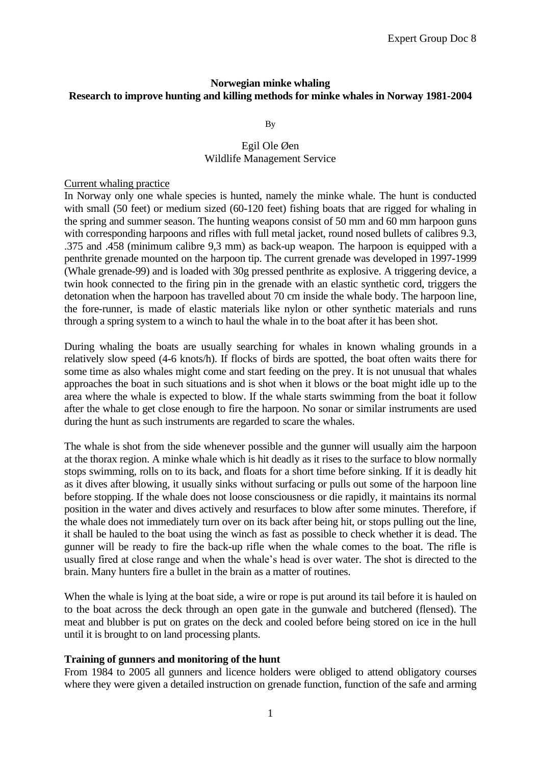# **Norwegian minke whaling Research to improve hunting and killing methods for minke whales in Norway 1981-2004**

By

# Egil Ole Øen Wildlife Management Service

#### Current whaling practice

In Norway only one whale species is hunted, namely the minke whale. The hunt is conducted with small (50 feet) or medium sized (60-120 feet) fishing boats that are rigged for whaling in the spring and summer season. The hunting weapons consist of 50 mm and 60 mm harpoon guns with corresponding harpoons and rifles with full metal jacket, round nosed bullets of calibres 9.3, .375 and .458 (minimum calibre 9,3 mm) as back-up weapon. The harpoon is equipped with a penthrite grenade mounted on the harpoon tip. The current grenade was developed in 1997-1999 (Whale grenade-99) and is loaded with 30g pressed penthrite as explosive. A triggering device, a twin hook connected to the firing pin in the grenade with an elastic synthetic cord, triggers the detonation when the harpoon has travelled about 70 cm inside the whale body. The harpoon line, the fore-runner, is made of elastic materials like nylon or other synthetic materials and runs through a spring system to a winch to haul the whale in to the boat after it has been shot.

During whaling the boats are usually searching for whales in known whaling grounds in a relatively slow speed (4-6 knots/h). If flocks of birds are spotted, the boat often waits there for some time as also whales might come and start feeding on the prey. It is not unusual that whales approaches the boat in such situations and is shot when it blows or the boat might idle up to the area where the whale is expected to blow. If the whale starts swimming from the boat it follow after the whale to get close enough to fire the harpoon. No sonar or similar instruments are used during the hunt as such instruments are regarded to scare the whales.

The whale is shot from the side whenever possible and the gunner will usually aim the harpoon at the thorax region. A minke whale which is hit deadly as it rises to the surface to blow normally stops swimming, rolls on to its back, and floats for a short time before sinking. If it is deadly hit as it dives after blowing, it usually sinks without surfacing or pulls out some of the harpoon line before stopping. If the whale does not loose consciousness or die rapidly, it maintains its normal position in the water and dives actively and resurfaces to blow after some minutes. Therefore, if the whale does not immediately turn over on its back after being hit, or stops pulling out the line, it shall be hauled to the boat using the winch as fast as possible to check whether it is dead. The gunner will be ready to fire the back-up rifle when the whale comes to the boat. The rifle is usually fired at close range and when the whale's head is over water. The shot is directed to the brain. Many hunters fire a bullet in the brain as a matter of routines.

When the whale is lying at the boat side, a wire or rope is put around its tail before it is hauled on to the boat across the deck through an open gate in the gunwale and butchered (flensed). The meat and blubber is put on grates on the deck and cooled before being stored on ice in the hull until it is brought to on land processing plants.

#### **Training of gunners and monitoring of the hunt**

From 1984 to 2005 all gunners and licence holders were obliged to attend obligatory courses where they were given a detailed instruction on grenade function, function of the safe and arming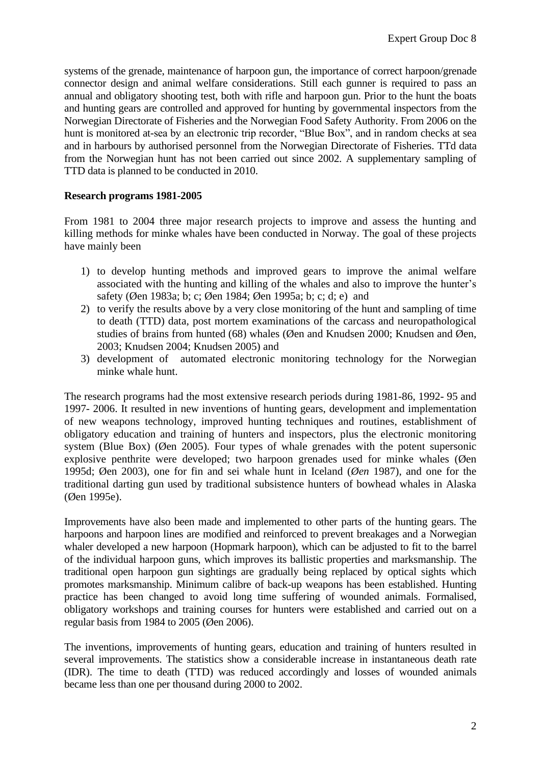systems of the grenade, maintenance of harpoon gun, the importance of correct harpoon/grenade connector design and animal welfare considerations. Still each gunner is required to pass an annual and obligatory shooting test, both with rifle and harpoon gun. Prior to the hunt the boats and hunting gears are controlled and approved for hunting by governmental inspectors from the Norwegian Directorate of Fisheries and the Norwegian Food Safety Authority. From 2006 on the hunt is monitored at-sea by an electronic trip recorder, "Blue Box", and in random checks at sea and in harbours by authorised personnel from the Norwegian Directorate of Fisheries. TTd data from the Norwegian hunt has not been carried out since 2002. A supplementary sampling of TTD data is planned to be conducted in 2010.

# **Research programs 1981-2005**

From 1981 to 2004 three major research projects to improve and assess the hunting and killing methods for minke whales have been conducted in Norway. The goal of these projects have mainly been

- 1) to develop hunting methods and improved gears to improve the animal welfare associated with the hunting and killing of the whales and also to improve the hunter's safety (Øen 1983a; b; c; Øen 1984; Øen 1995a; b; c; d; e) and
- 2) to verify the results above by a very close monitoring of the hunt and sampling of time to death (TTD) data, post mortem examinations of the carcass and neuropathological studies of brains from hunted (68) whales (Øen and Knudsen 2000; Knudsen and Øen, 2003; Knudsen 2004; Knudsen 2005) and
- 3) development of automated electronic monitoring technology for the Norwegian minke whale hunt.

The research programs had the most extensive research periods during 1981-86, 1992- 95 and 1997- 2006. It resulted in new inventions of hunting gears, development and implementation of new weapons technology, improved hunting techniques and routines, establishment of obligatory education and training of hunters and inspectors, plus the electronic monitoring system (Blue Box) (Øen 2005). Four types of whale grenades with the potent supersonic explosive penthrite were developed; two harpoon grenades used for minke whales (Øen 1995d; Øen 2003), one for fin and sei whale hunt in Iceland (*Øen* 1987), and one for the traditional darting gun used by traditional subsistence hunters of bowhead whales in Alaska (Øen 1995e).

Improvements have also been made and implemented to other parts of the hunting gears. The harpoons and harpoon lines are modified and reinforced to prevent breakages and a Norwegian whaler developed a new harpoon (Hopmark harpoon), which can be adjusted to fit to the barrel of the individual harpoon guns, which improves its ballistic properties and marksmanship. The traditional open harpoon gun sightings are gradually being replaced by optical sights which promotes marksmanship. Minimum calibre of back-up weapons has been established. Hunting practice has been changed to avoid long time suffering of wounded animals. Formalised, obligatory workshops and training courses for hunters were established and carried out on a regular basis from 1984 to 2005 (Øen 2006).

The inventions, improvements of hunting gears, education and training of hunters resulted in several improvements. The statistics show a considerable increase in instantaneous death rate (IDR). The time to death (TTD) was reduced accordingly and losses of wounded animals became less than one per thousand during 2000 to 2002.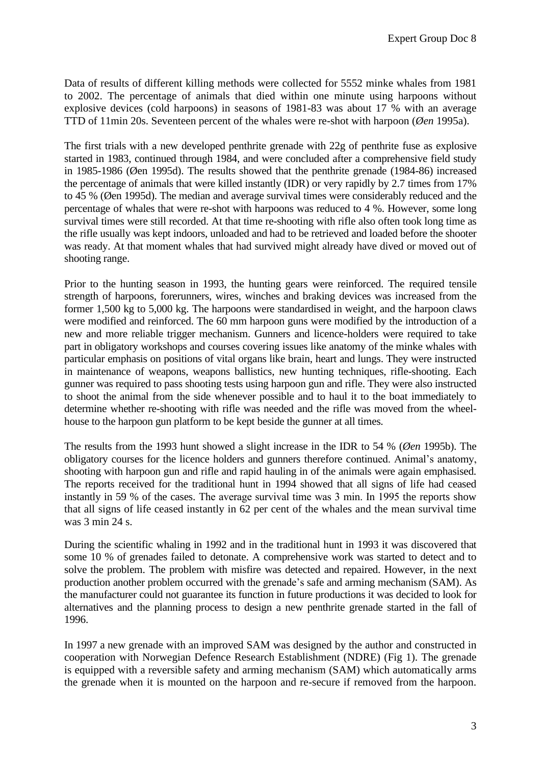Data of results of different killing methods were collected for 5552 minke whales from 1981 to 2002. The percentage of animals that died within one minute using harpoons without explosive devices (cold harpoons) in seasons of 1981-83 was about 17 % with an average TTD of 11min 20s. Seventeen percent of the whales were re-shot with harpoon (*Øen* 1995a).

The first trials with a new developed penthrite grenade with 22g of penthrite fuse as explosive started in 1983, continued through 1984, and were concluded after a comprehensive field study in 1985-1986 (Øen 1995d). The results showed that the penthrite grenade (1984-86) increased the percentage of animals that were killed instantly (IDR) or very rapidly by 2.7 times from 17% to 45 % (Øen 1995d). The median and average survival times were considerably reduced and the percentage of whales that were re-shot with harpoons was reduced to 4 %. However, some long survival times were still recorded. At that time re-shooting with rifle also often took long time as the rifle usually was kept indoors, unloaded and had to be retrieved and loaded before the shooter was ready. At that moment whales that had survived might already have dived or moved out of shooting range.

Prior to the hunting season in 1993, the hunting gears were reinforced. The required tensile strength of harpoons, forerunners, wires, winches and braking devices was increased from the former 1,500 kg to 5,000 kg. The harpoons were standardised in weight, and the harpoon claws were modified and reinforced. The 60 mm harpoon guns were modified by the introduction of a new and more reliable trigger mechanism. Gunners and licence-holders were required to take part in obligatory workshops and courses covering issues like anatomy of the minke whales with particular emphasis on positions of vital organs like brain, heart and lungs. They were instructed in maintenance of weapons, weapons ballistics, new hunting techniques, rifle-shooting. Each gunner was required to pass shooting tests using harpoon gun and rifle. They were also instructed to shoot the animal from the side whenever possible and to haul it to the boat immediately to determine whether re-shooting with rifle was needed and the rifle was moved from the wheelhouse to the harpoon gun platform to be kept beside the gunner at all times.

The results from the 1993 hunt showed a slight increase in the IDR to 54 % (*Øen* 1995b). The obligatory courses for the licence holders and gunners therefore continued. Animal's anatomy, shooting with harpoon gun and rifle and rapid hauling in of the animals were again emphasised. The reports received for the traditional hunt in 1994 showed that all signs of life had ceased instantly in 59 % of the cases. The average survival time was 3 min. In 1995 the reports show that all signs of life ceased instantly in 62 per cent of the whales and the mean survival time was 3 min 24 s.

During the scientific whaling in 1992 and in the traditional hunt in 1993 it was discovered that some 10 % of grenades failed to detonate. A comprehensive work was started to detect and to solve the problem. The problem with misfire was detected and repaired. However, in the next production another problem occurred with the grenade's safe and arming mechanism (SAM). As the manufacturer could not guarantee its function in future productions it was decided to look for alternatives and the planning process to design a new penthrite grenade started in the fall of 1996.

In 1997 a new grenade with an improved SAM was designed by the author and constructed in cooperation with Norwegian Defence Research Establishment (NDRE) (Fig 1). The grenade is equipped with a reversible safety and arming mechanism (SAM) which automatically arms the grenade when it is mounted on the harpoon and re-secure if removed from the harpoon.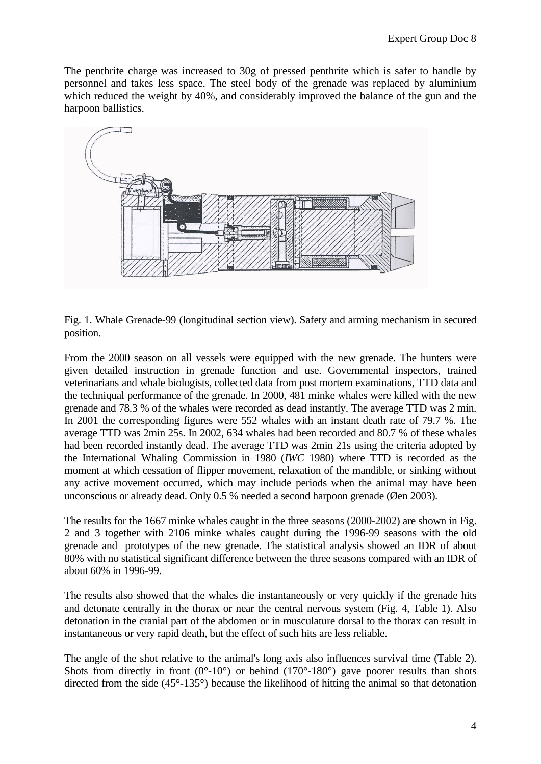The penthrite charge was increased to 30g of pressed penthrite which is safer to handle by personnel and takes less space. The steel body of the grenade was replaced by aluminium which reduced the weight by 40%, and considerably improved the balance of the gun and the harpoon ballistics.



Fig. 1. Whale Grenade-99 (longitudinal section view). Safety and arming mechanism in secured position.

From the 2000 season on all vessels were equipped with the new grenade. The hunters were given detailed instruction in grenade function and use. Governmental inspectors, trained veterinarians and whale biologists, collected data from post mortem examinations, TTD data and the techniqual performance of the grenade. In 2000, 481 minke whales were killed with the new grenade and 78.3 % of the whales were recorded as dead instantly. The average TTD was 2 min. In 2001 the corresponding figures were 552 whales with an instant death rate of 79.7 %. The average TTD was 2min 25s. In 2002, 634 whales had been recorded and 80.7 % of these whales had been recorded instantly dead. The average TTD was 2min 21s using the criteria adopted by the International Whaling Commission in 1980 (*IWC* 1980) where TTD is recorded as the moment at which cessation of flipper movement, relaxation of the mandible, or sinking without any active movement occurred, which may include periods when the animal may have been unconscious or already dead. Only 0.5 % needed a second harpoon grenade (Øen 2003).

The results for the 1667 minke whales caught in the three seasons (2000-2002) are shown in Fig. 2 and 3 together with 2106 minke whales caught during the 1996-99 seasons with the old grenade and prototypes of the new grenade. The statistical analysis showed an IDR of about 80% with no statistical significant difference between the three seasons compared with an IDR of about 60% in 1996-99.

The results also showed that the whales die instantaneously or very quickly if the grenade hits and detonate centrally in the thorax or near the central nervous system (Fig. 4, Table 1). Also detonation in the cranial part of the abdomen or in musculature dorsal to the thorax can result in instantaneous or very rapid death, but the effect of such hits are less reliable.

The angle of the shot relative to the animal's long axis also influences survival time (Table 2). Shots from directly in front  $(0^{\circ} - 10^{\circ})$  or behind  $(170^{\circ} - 180^{\circ})$  gave poorer results than shots directed from the side (45°-135°) because the likelihood of hitting the animal so that detonation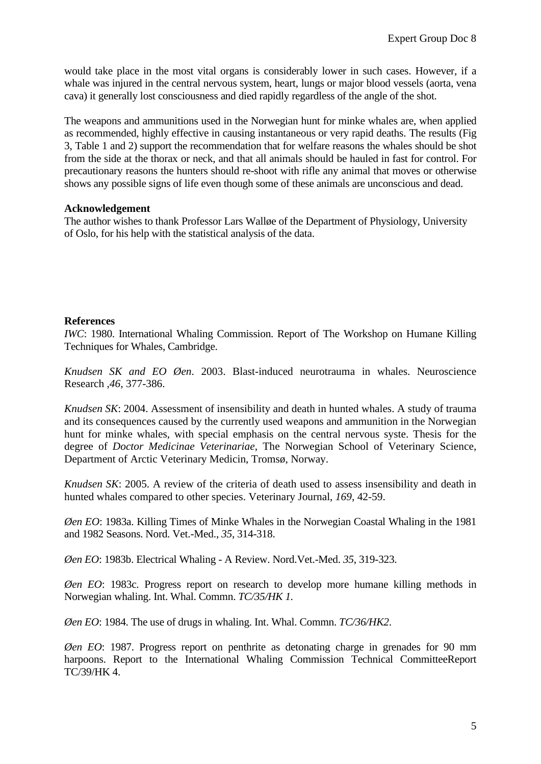would take place in the most vital organs is considerably lower in such cases. However, if a whale was injured in the central nervous system, heart, lungs or major blood vessels (aorta, vena cava) it generally lost consciousness and died rapidly regardless of the angle of the shot.

The weapons and ammunitions used in the Norwegian hunt for minke whales are, when applied as recommended, highly effective in causing instantaneous or very rapid deaths. The results (Fig 3, Table 1 and 2) support the recommendation that for welfare reasons the whales should be shot from the side at the thorax or neck, and that all animals should be hauled in fast for control. For precautionary reasons the hunters should re-shoot with rifle any animal that moves or otherwise shows any possible signs of life even though some of these animals are unconscious and dead.

# **Acknowledgement**

The author wishes to thank Professor Lars Walløe of the Department of Physiology, University of Oslo, for his help with the statistical analysis of the data.

# **References**

*IWC*: 1980. International Whaling Commission. Report of The Workshop on Humane Killing Techniques for Whales, Cambridge.

*Knudsen SK and EO Øen*. 2003. Blast-induced neurotrauma in whales. Neuroscience Research ,*46*, 377-386.

*Knudsen SK*: 2004. Assessment of insensibility and death in hunted whales. A study of trauma and its consequences caused by the currently used weapons and ammunition in the Norwegian hunt for minke whales, with special emphasis on the central nervous syste. Thesis for the degree of *Doctor Medicinae Veterinariae*, The Norwegian School of Veterinary Science, Department of Arctic Veterinary Medicin, Tromsø, Norway.

*Knudsen SK*: 2005. A review of the criteria of death used to assess insensibility and death in hunted whales compared to other species. Veterinary Journal, *169*, 42-59.

*Øen EO*: 1983a. Killing Times of Minke Whales in the Norwegian Coastal Whaling in the 1981 and 1982 Seasons. Nord. Vet.-Med., *35*, 314-318.

*Øen EO*: 1983b. Electrical Whaling - A Review. Nord.Vet.-Med. *35*, 319-323.

*Øen EO*: 1983c. Progress report on research to develop more humane killing methods in Norwegian whaling. Int. Whal. Commn. *TC/35/HK 1.*

*Øen EO*: 1984. The use of drugs in whaling. Int. Whal. Commn. *TC/36/HK2*.

*Øen EO*: 1987. Progress report on penthrite as detonating charge in grenades for 90 mm harpoons. Report to the International Whaling Commission Technical CommitteeReport TC/39/HK 4.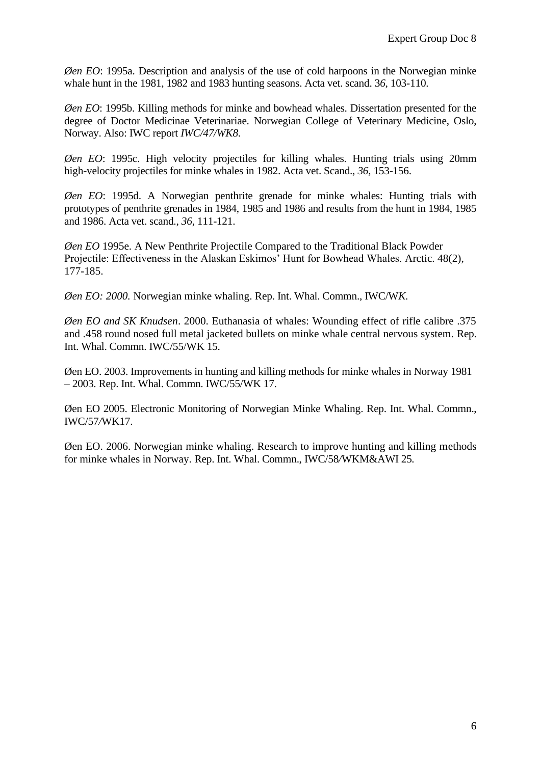*Øen EO*: 1995a. Description and analysis of the use of cold harpoons in the Norwegian minke whale hunt in the 1981, 1982 and 1983 hunting seasons. Acta vet. scand. 3*6*, 103-110.

*Øen EO*: 1995b. Killing methods for minke and bowhead whales. Dissertation presented for the degree of Doctor Medicinae Veterinariae. Norwegian College of Veterinary Medicine, Oslo, Norway. Also: IWC report *IWC/47/WK8*.

*Øen EO*: 1995c. High velocity projectiles for killing whales. Hunting trials using 20mm high-velocity projectiles for minke whales in 1982. Acta vet. Scand., *36,* 153-156.

*Øen EO*: 1995d. A Norwegian penthrite grenade for minke whales: Hunting trials with prototypes of penthrite grenades in 1984, 1985 and 1986 and results from the hunt in 1984, 1985 and 1986. Acta vet. scand., *36,* 111-121.

*Øen EO* 1995e. A New Penthrite Projectile Compared to the Traditional Black Powder Projectile: Effectiveness in the Alaskan Eskimos' Hunt for Bowhead Whales. Arctic. 48(2), 177-185.

*Øen EO: 2000.* Norwegian minke whaling. Rep. Int. Whal. Commn., IWC/W*K.*

*Øen EO and SK Knudsen*. 2000. Euthanasia of whales: Wounding effect of rifle calibre .375 and .458 round nosed full metal jacketed bullets on minke whale central nervous system. Rep. Int. Whal. Commn. IWC/55/WK 15.

Øen EO. 2003. Improvements in hunting and killing methods for minke whales in Norway 1981 – 2003. Rep. Int. Whal. Commn. IWC/55/WK 17.

Øen EO 2005. Electronic Monitoring of Norwegian Minke Whaling. Rep. Int. Whal. Commn., IWC/57*/*WK17.

Øen EO. 2006. Norwegian minke whaling. Research to improve hunting and killing methods for minke whales in Norway. Rep. Int. Whal. Commn., IWC/58*/*WKM&AWI 25*.*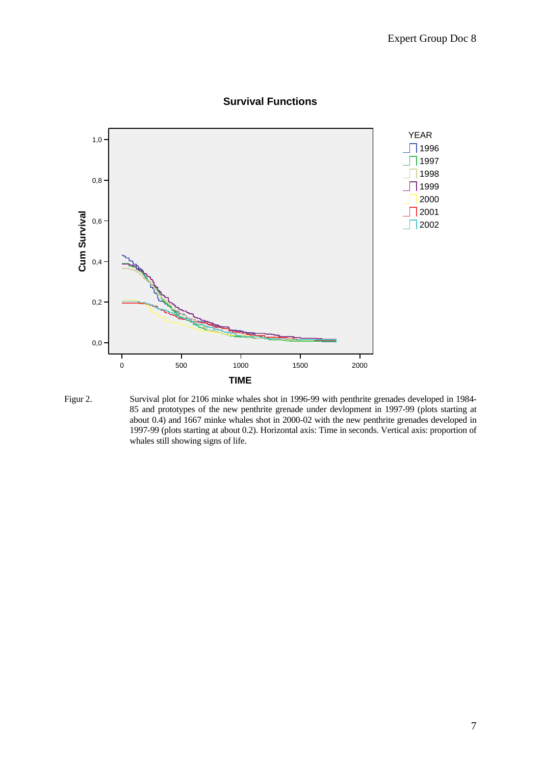

# **Survival Functions**

Figur 2. Survival plot for 2106 minke whales shot in 1996-99 with penthrite grenades developed in 1984- 85 and prototypes of the new penthrite grenade under devlopment in 1997-99 (plots starting at about 0.4) and 1667 minke whales shot in 2000-02 with the new penthrite grenades developed in 1997-99 (plots starting at about 0.2). Horizontal axis: Time in seconds. Vertical axis: proportion of whales still showing signs of life.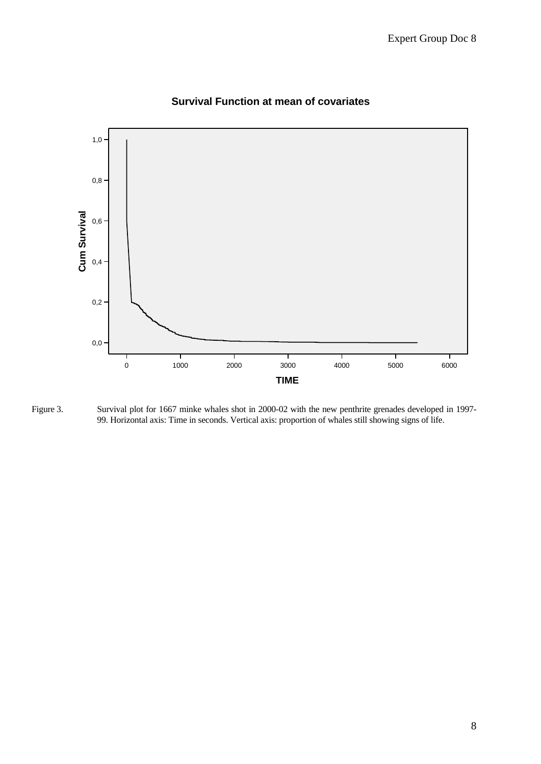

# **Survival Function at mean of covariates**

Figure 3. Survival plot for 1667 minke whales shot in 2000-02 with the new penthrite grenades developed in 1997- 99. Horizontal axis: Time in seconds. Vertical axis: proportion of whales still showing signs of life.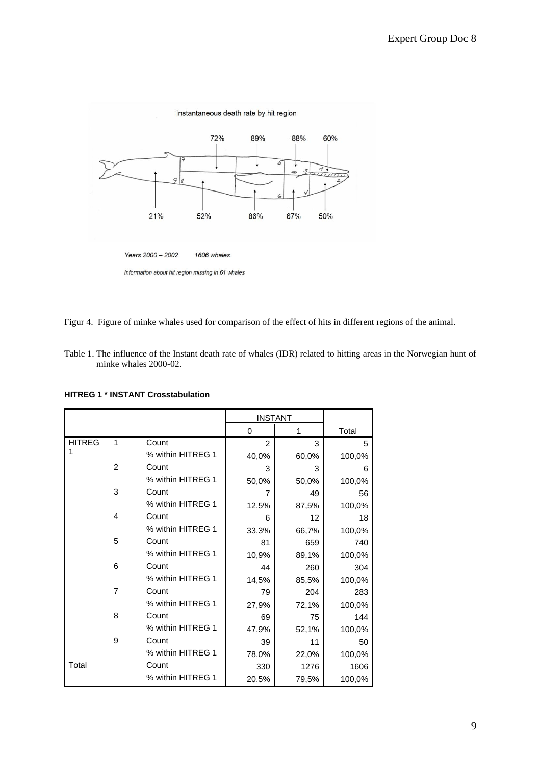

Figur 4. Figure of minke whales used for comparison of the effect of hits in different regions of the animal.

Table 1. The influence of the Instant death rate of whales (IDR) related to hitting areas in the Norwegian hunt of minke whales 2000-02.

**HITREG 1 \* INSTANT Crosstabulation**

|               |                |                   | <b>INSTANT</b> |       |        |
|---------------|----------------|-------------------|----------------|-------|--------|
|               |                |                   | 0              | 1     | Total  |
| <b>HITREG</b> | $\mathbf{1}$   | Count             | 2              | 3     | 5      |
|               |                | % within HITREG 1 | 40,0%          | 60,0% | 100,0% |
|               | $\overline{2}$ | Count             | 3              | 3     | 6      |
|               |                | % within HITREG 1 | 50,0%          | 50,0% | 100,0% |
|               | 3              | Count             | 7              | 49    | 56     |
|               |                | % within HITREG 1 | 12,5%          | 87,5% | 100,0% |
|               | 4              | Count             | 6              | 12    | 18     |
|               |                | % within HITREG 1 | 33,3%          | 66,7% | 100,0% |
|               | 5              | Count             | 81             | 659   | 740    |
|               |                | % within HITREG 1 | 10,9%          | 89,1% | 100,0% |
|               | 6              | Count             | 44             | 260   | 304    |
|               |                | % within HITREG 1 | 14,5%          | 85,5% | 100,0% |
|               | $\overline{7}$ | Count             | 79             | 204   | 283    |
|               |                | % within HITREG 1 | 27,9%          | 72,1% | 100,0% |
|               | 8              | Count             | 69             | 75    | 144    |
|               |                | % within HITREG 1 | 47,9%          | 52,1% | 100,0% |
|               | 9              | Count             | 39             | 11    | 50     |
|               |                | % within HITREG 1 | 78,0%          | 22,0% | 100,0% |
| Total         |                | Count             | 330            | 1276  | 1606   |
|               |                | % within HITREG 1 | 20,5%          | 79,5% | 100,0% |